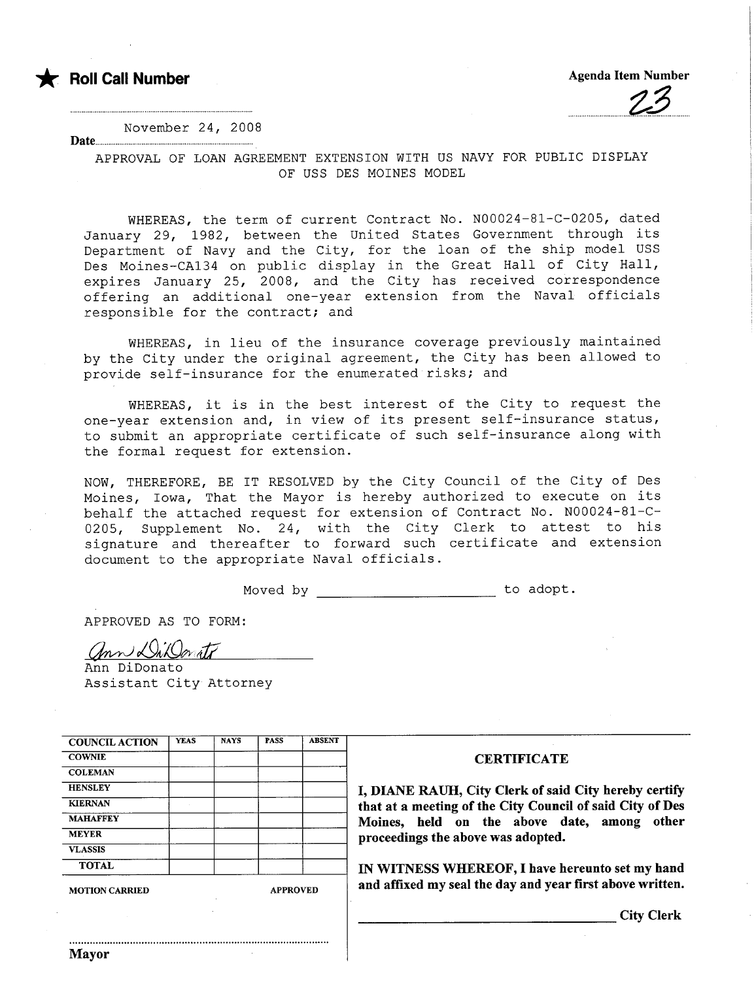

 $\overline{\phantom{a}}$ 

November 24, 2008

Date..................................................................

APPROVAL OF LOAN AGREEMENT EXTENSION WITH US NAVY FOR PUBLIC DISPLAY OF USS DES MOINES MODEL

WHEREAS, the term of current Contract No. N00024-81-C-0205, dated January 29, 1982, between the United States Government through its Department of Navy and the City, for the loan of the ship model USS Des Moines-CA134 on public display in the Great Hall of City Hall, expires January 25, 2008, and the City has received correspondence offering an additional one-year extension from the Naval officials responsible for the contract; and

WHEREAS, in lieu of the insurance coverage previously maintained by the City under the original agreement, the City has been allowed to provide self-insurance for the enumerated risks; and

WHEREAS, it is in the best interest of the City to request the one-year extension and, in view o£ its present self-insurance status, to submit an appropriate certificate of such self-insurance along with the formal request for extension.

NOW, THEREFORE, BE IT RESOLVED by the City Council of the City of Des Moines, Iowa, That the Mayor is hereby authorized to execute on its behalf the attached request for extension of Contract No. N00024-81-C-0205, Supplement No. 24, with the City Clerk to attest to his signature and thereafter to forward such certificate and extension document to the appropriate Naval officials.

Moved by to adopt.

APPROVED AS TO FORM:

<u>Ann Willowath</u>

Assistant City Attorney

...........................................................................................

| <b>COUNCIL ACTION</b> | <b>YEAS</b> | <b>NAYS</b>     | <b>PASS</b> | <b>ABSENT</b> |
|-----------------------|-------------|-----------------|-------------|---------------|
| <b>COWNIE</b>         |             |                 |             |               |
| <b>COLEMAN</b>        |             |                 |             |               |
| <b>HENSLEY</b>        |             |                 |             |               |
| <b>KIERNAN</b>        |             |                 |             |               |
| <b>MAHAFFEY</b>       |             |                 |             |               |
| <b>MEYER</b>          |             |                 |             |               |
| <b>VLASSIS</b>        |             |                 |             |               |
| <b>TOTAL</b>          |             |                 |             |               |
| <b>MOTION CARRIED</b> |             | <b>APPROVED</b> |             |               |

## **CERTIFICATE**

HANE RAUH, City Clerk of said City hereby certify t at a meeting of the City Council of said City of Des ines, held on the above date, among other ceedings the above was adopted.

WITNESS WHEREOF, I have hereunto set my hand affixed my seal the day and year first above written.

City Clerk